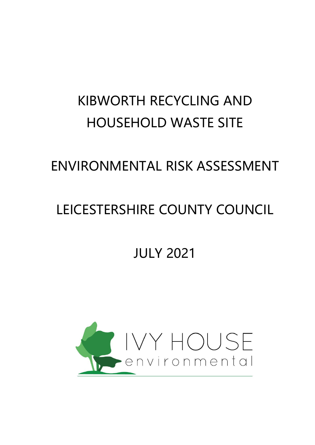# KIBWORTH RECYCLING AND HOUSEHOLD WASTE SITE

## ENVIRONMENTAL RISK ASSESSMENT

# LEICESTERSHIRE COUNTY COUNCIL

# JULY 2021

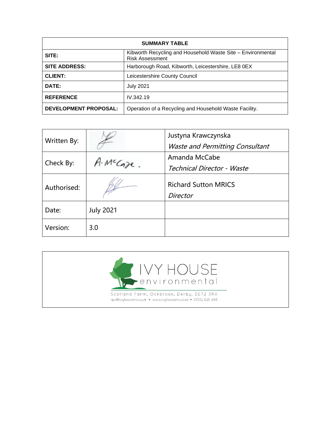| <b>SUMMARY TABLE</b>         |                                                                                       |  |  |
|------------------------------|---------------------------------------------------------------------------------------|--|--|
| SITE:                        | Kibworth Recycling and Household Waste Site - Environmental<br><b>Risk Assessment</b> |  |  |
| <b>SITE ADDRESS:</b>         | Harborough Road, Kibworth, Leicestershire, LE8 0EX                                    |  |  |
| <b>CLIENT:</b>               | Leicestershire County Council                                                         |  |  |
| DATE:                        | <b>July 2021</b>                                                                      |  |  |
| <b>REFERENCE</b>             | IV.342.19                                                                             |  |  |
| <b>DEVELOPMENT PROPOSAL:</b> | Operation of a Recycling and Household Waste Facility.                                |  |  |

| Written By: |                  | Justyna Krawczynska                     |
|-------------|------------------|-----------------------------------------|
|             |                  | <b>Waste and Permitting Consultant</b>  |
| Check By:   | McCoze.          | Amanda McCabe                           |
|             |                  | Technical Director - Waste              |
| Authorised: |                  | <b>Richard Sutton MRICS</b><br>Director |
|             |                  |                                         |
| Date:       | <b>July 2021</b> |                                         |
| Version:    | 3.0              |                                         |

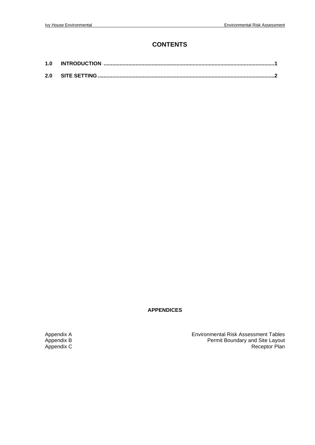### **CONTENTS**

| 1.0 |  |
|-----|--|
|     |  |

**APPENDICES**

Appendix A<br>Appendix B<br>Appendix C<br>Appendix C<br>Appendix C<br>Appendix C<br>Appendix C<br>Appendix C<br>Appendix C<br>Appendix C<br>Appendix C<br>Appendix C Appendix B Permit Boundary and Site Layout Appendix C Receptor Plan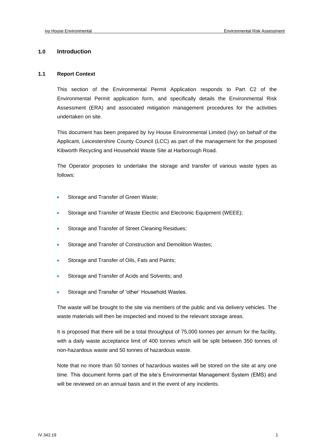#### **1.0 Introduction**

#### **1.1 Report Context**

This section of the Environmental Permit Application responds to Part C2 of the Environmental Permit application form, and specifically details the Environmental Risk Assessment (ERA) and associated mitigation management procedures for the activities undertaken on site.

This document has been prepared by Ivy House Environmental Limited (Ivy) on behalf of the Applicant, Leicestershire County Council (LCC) as part of the management for the proposed Kibworth Recycling and Household Waste Site at Harborough Road.

The Operator proposes to undertake the storage and transfer of various waste types as follows:

- Storage and Transfer of Green Waste;
- Storage and Transfer of Waste Electric and Electronic Equipment (WEEE);
- Storage and Transfer of Street Cleaning Residues;
- Storage and Transfer of Construction and Demolition Wastes;
- Storage and Transfer of Oils, Fats and Paints;
- Storage and Transfer of Acids and Solvents; and
- Storage and Transfer of 'other' Household Wastes.

The waste will be brought to the site via members of the public and via delivery vehicles. The waste materials will then be inspected and moved to the relevant storage areas.

It is proposed that there will be a total throughput of 75,000 tonnes per annum for the facility, with a daily waste acceptance limit of 400 tonnes which will be split between 350 tonnes of non-hazardous waste and 50 tonnes of hazardous waste.

Note that no more than 50 tonnes of hazardous wastes will be stored on the site at any one time. This document forms part of the site's Environmental Management System (EMS) and will be reviewed on an annual basis and in the event of any incidents.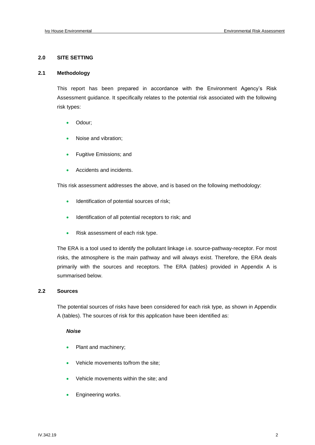#### **2.0 SITE SETTING**

#### **2.1 Methodology**

This report has been prepared in accordance with the Environment Agency's Risk Assessment guidance. It specifically relates to the potential risk associated with the following risk types:

- Odour;
- Noise and vibration;
- Fugitive Emissions; and
- Accidents and incidents.

This risk assessment addresses the above, and is based on the following methodology:

- Identification of potential sources of risk;
- Identification of all potential receptors to risk; and
- Risk assessment of each risk type.

The ERA is a tool used to identify the pollutant linkage i.e. source-pathway-receptor. For most risks, the atmosphere is the main pathway and will always exist. Therefore, the ERA deals primarily with the sources and receptors. The ERA (tables) provided in Appendix A is summarised below.

#### **2.2 Sources**

The potential sources of risks have been considered for each risk type, as shown in Appendix A (tables). The sources of risk for this application have been identified as:

#### *Noise*

- Plant and machinery;
- Vehicle movements to/from the site;
- Vehicle movements within the site; and
- Engineering works.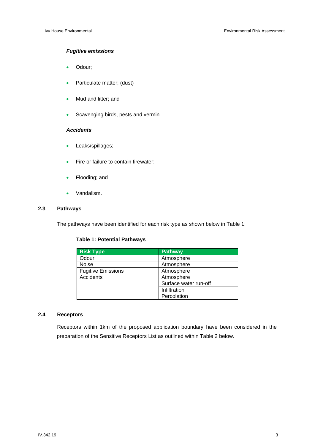#### *Fugitive emissions*

- Odour;
- Particulate matter; (dust)
- Mud and litter; and
- Scavenging birds, pests and vermin.

#### *Accidents*

- Leaks/spillages;
- Fire or failure to contain firewater;
- Flooding; and
- Vandalism.

#### **2.3 Pathways**

The pathways have been identified for each risk type as shown below in Table 1:

#### **Table 1: Potential Pathways**

| <b>Risk Type</b>          | <b>Pathway</b>        |
|---------------------------|-----------------------|
| Odour                     | Atmosphere            |
| <b>Noise</b>              | Atmosphere            |
| <b>Fugitive Emissions</b> | Atmosphere            |
| Accidents                 | Atmosphere            |
|                           | Surface water run-off |
|                           | Infiltration          |
|                           | Percolation           |

#### **2.4 Receptors**

Receptors within 1km of the proposed application boundary have been considered in the preparation of the Sensitive Receptors List as outlined within Table 2 below.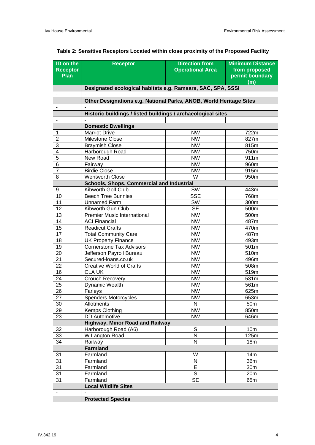| ID on the<br><b>Receptor</b><br>Plan | <b>Receptor</b>                                                    | <b>Direction from</b><br><b>Operational Area</b> | <b>Minimum Distance</b><br>from proposed<br>permit boundary<br>(m) |  |  |  |  |
|--------------------------------------|--------------------------------------------------------------------|--------------------------------------------------|--------------------------------------------------------------------|--|--|--|--|
|                                      | Designated ecological habitats e.g. Ramsars, SAC, SPA, SSSI        |                                                  |                                                                    |  |  |  |  |
|                                      |                                                                    |                                                  |                                                                    |  |  |  |  |
|                                      | Other Designations e.g. National Parks, ANOB, World Heritage Sites |                                                  |                                                                    |  |  |  |  |
|                                      |                                                                    |                                                  |                                                                    |  |  |  |  |
|                                      | Historic buildings / listed buildings / archaeological sites       |                                                  |                                                                    |  |  |  |  |
|                                      |                                                                    |                                                  |                                                                    |  |  |  |  |
|                                      | <b>Domestic Dwellings</b>                                          |                                                  |                                                                    |  |  |  |  |
| 1                                    | <b>Marriot Drive</b>                                               | <b>NW</b>                                        | 722m                                                               |  |  |  |  |
| $\overline{2}$                       | Milestone Close                                                    | <b>NW</b>                                        | 827m                                                               |  |  |  |  |
| 3                                    | <b>Braymish Close</b>                                              | <b>NW</b>                                        | 815m                                                               |  |  |  |  |
| $\overline{\mathbf{4}}$              | Harborough Road                                                    | <b>NW</b>                                        | 750m                                                               |  |  |  |  |
| 5                                    | New Road                                                           | <b>NW</b>                                        | 911m                                                               |  |  |  |  |
| 6                                    | Fairway                                                            | <b>NW</b>                                        | 960m                                                               |  |  |  |  |
| $\overline{7}$                       | <b>Birdie Close</b>                                                | <b>NW</b>                                        | 915m                                                               |  |  |  |  |
| 8                                    | <b>Wentworth Close</b>                                             | W                                                | 950m                                                               |  |  |  |  |
|                                      | <b>Schools, Shops, Commercial and Industrial</b>                   |                                                  |                                                                    |  |  |  |  |
| 9                                    | Kibworth Golf Club                                                 | SW                                               | 443m                                                               |  |  |  |  |
| 10                                   | <b>Beech Tree Bunnies</b>                                          | <b>SSE</b>                                       | 768m                                                               |  |  |  |  |
| 11                                   | <b>Unnamed Farm</b>                                                | SW                                               | 300m                                                               |  |  |  |  |
| 12                                   | Kibworth Gun Club                                                  | <b>SE</b>                                        | 500m                                                               |  |  |  |  |
| 13                                   | <b>Premier Music International</b>                                 | <b>NW</b>                                        | 500m                                                               |  |  |  |  |
| 14                                   | <b>ACI Financial</b>                                               | <b>NW</b>                                        | 487m                                                               |  |  |  |  |
| 15                                   | <b>Readicut Crafts</b>                                             | <b>NW</b>                                        | 470m                                                               |  |  |  |  |
| 17                                   | <b>Total Community Care</b>                                        | <b>NW</b>                                        | 487m                                                               |  |  |  |  |
| 18                                   | <b>UK Property Finance</b>                                         | <b>NW</b>                                        | 493m                                                               |  |  |  |  |
| 19                                   | <b>Cornerstone Tax Advisors</b>                                    | <b>NW</b>                                        | 501m                                                               |  |  |  |  |
| 20                                   | Jefferson Payroll Bureau                                           | <b>NW</b>                                        | 510m                                                               |  |  |  |  |
| 21                                   | Secured-Ioans.co.uk                                                | <b>NW</b>                                        | 496m                                                               |  |  |  |  |
| $\overline{22}$                      | <b>Creative World of Crafts</b>                                    | <b>NW</b>                                        | 508m                                                               |  |  |  |  |
| 16                                   | <b>CLA UK</b>                                                      | <b>NW</b>                                        | 519m                                                               |  |  |  |  |
| 24                                   | Crouch Recovery                                                    | <b>NW</b>                                        | 531m                                                               |  |  |  |  |
| $\overline{25}$                      | Dynamic Wealth                                                     | <b>NW</b>                                        | 561m                                                               |  |  |  |  |
| $\overline{26}$                      | Farleys                                                            | <b>NW</b>                                        | 625m                                                               |  |  |  |  |
| $\overline{27}$                      | <b>Spenders Motorcycles</b>                                        | <b>NW</b>                                        | 653m                                                               |  |  |  |  |
| 30                                   | Allotments                                                         | N                                                | 50 <sub>m</sub>                                                    |  |  |  |  |
| 29                                   | Kemps Clothing                                                     | $\overline{\text{NW}}$                           | 850m                                                               |  |  |  |  |
| 23                                   | <b>DD</b> Automotive                                               | <b>NW</b>                                        | 646m                                                               |  |  |  |  |
|                                      | <b>Highway, Minor Road and Railway</b>                             |                                                  |                                                                    |  |  |  |  |
| 32                                   | Harborough Road (A6)                                               | $\overline{s}$                                   | 10 <sub>m</sub>                                                    |  |  |  |  |
| $\overline{33}$                      | W Langton Road                                                     | N                                                | 125m                                                               |  |  |  |  |
| 34                                   | Railway                                                            | N                                                | 18m                                                                |  |  |  |  |
|                                      | <b>Farmland</b>                                                    |                                                  |                                                                    |  |  |  |  |
| 31                                   | Farmland                                                           | W                                                | 14m                                                                |  |  |  |  |
| 31                                   | Farmland                                                           | N                                                | 36m                                                                |  |  |  |  |
| 31                                   | Farmland                                                           | E                                                | 30m                                                                |  |  |  |  |
| 31                                   | Farmland                                                           | $\overline{s}$                                   | 20 <sub>m</sub>                                                    |  |  |  |  |
| 31                                   | Farmland                                                           | $\overline{\text{SE}}$                           | 65m                                                                |  |  |  |  |
|                                      | <b>Local Wildlife Sites</b>                                        |                                                  |                                                                    |  |  |  |  |
| $\blacksquare$                       |                                                                    |                                                  |                                                                    |  |  |  |  |
|                                      | <b>Protected Species</b>                                           |                                                  |                                                                    |  |  |  |  |

### **Table 2: Sensitive Receptors Located within close proximity of the Proposed Facility**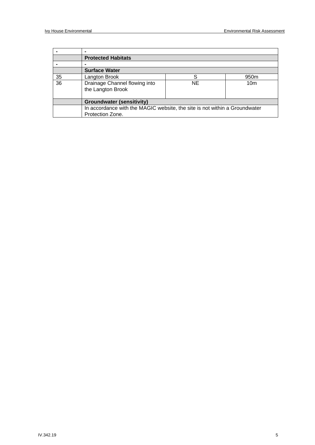|    | <b>Protected Habitats</b>                                                  |    |                  |
|----|----------------------------------------------------------------------------|----|------------------|
|    |                                                                            |    |                  |
|    | <b>Surface Water</b>                                                       |    |                  |
| 35 | Langton Brook                                                              | S  | 950 <sub>m</sub> |
| 36 | Drainage Channel flowing into                                              | NE | 10 <sub>m</sub>  |
|    | the Langton Brook                                                          |    |                  |
|    |                                                                            |    |                  |
|    | <b>Groundwater (sensitivity)</b>                                           |    |                  |
|    | In accordance with the MAGIC website, the site is not within a Groundwater |    |                  |
|    | Protection Zone.                                                           |    |                  |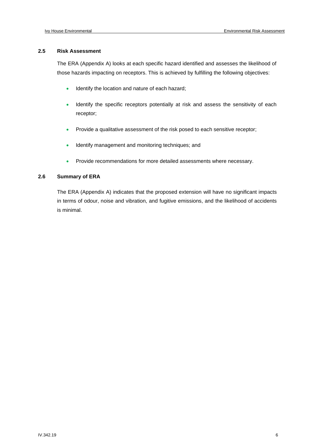#### **2.5 Risk Assessment**

The ERA (Appendix A) looks at each specific hazard identified and assesses the likelihood of those hazards impacting on receptors. This is achieved by fulfilling the following objectives:

- Identify the location and nature of each hazard;
- Identify the specific receptors potentially at risk and assess the sensitivity of each receptor;
- Provide a qualitative assessment of the risk posed to each sensitive receptor;
- Identify management and monitoring techniques; and
- Provide recommendations for more detailed assessments where necessary.

#### **2.6 Summary of ERA**

The ERA (Appendix A) indicates that the proposed extension will have no significant impacts in terms of odour, noise and vibration, and fugitive emissions, and the likelihood of accidents is minimal.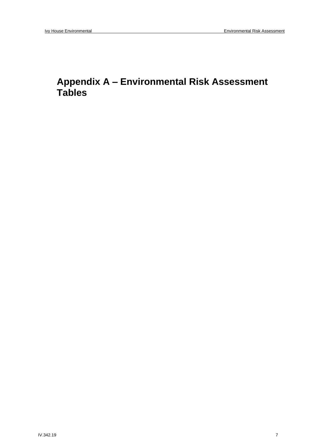### **Appendix A – Environmental Risk Assessment Tables**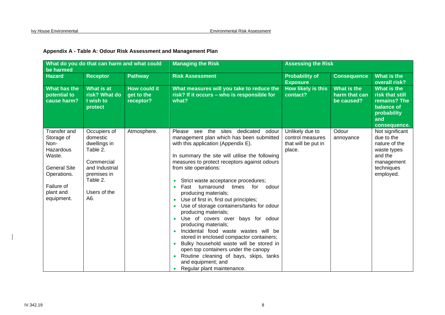| be harmed                                                                                                                                       | What do you do that can harm and what could                                                                                            |                                                | <b>Managing the Risk</b>                                                                                                                                                                                                                                                                                                                                                                                                                                                                                                                                                                                                                                                                                                                                                                                                    | <b>Assessing the Risk</b>                                            |                                            |                                                                                                                   |
|-------------------------------------------------------------------------------------------------------------------------------------------------|----------------------------------------------------------------------------------------------------------------------------------------|------------------------------------------------|-----------------------------------------------------------------------------------------------------------------------------------------------------------------------------------------------------------------------------------------------------------------------------------------------------------------------------------------------------------------------------------------------------------------------------------------------------------------------------------------------------------------------------------------------------------------------------------------------------------------------------------------------------------------------------------------------------------------------------------------------------------------------------------------------------------------------------|----------------------------------------------------------------------|--------------------------------------------|-------------------------------------------------------------------------------------------------------------------|
| <b>Hazard</b>                                                                                                                                   | <b>Receptor</b>                                                                                                                        | <b>Pathway</b>                                 | <b>Risk Assessment</b>                                                                                                                                                                                                                                                                                                                                                                                                                                                                                                                                                                                                                                                                                                                                                                                                      | <b>Probability of</b><br><b>Exposure</b>                             | <b>Consequence</b>                         | What is the<br>overall risk?                                                                                      |
| What has the<br>potential to<br>cause harm?                                                                                                     | What is at<br>risk? What do<br>I wish to<br>protect                                                                                    | <b>How could it</b><br>get to the<br>receptor? | What measures will you take to reduce the<br>risk? If it occurs - who is responsible for<br>what?                                                                                                                                                                                                                                                                                                                                                                                                                                                                                                                                                                                                                                                                                                                           | How likely is this<br>contact?                                       | What is the<br>harm that can<br>be caused? | What is the<br>risk that still<br>remains? The<br>balance of<br>probability<br>and<br>consequence.                |
| <b>Transfer and</b><br>Storage of<br>Non-<br>Hazardous<br>Waste.<br><b>General Site</b><br>Operations.<br>Failure of<br>plant and<br>equipment. | Occupiers of<br>domestic<br>dwellings in<br>Table 2.<br>Commercial<br>and Industrial<br>premises in<br>Table 2.<br>Users of the<br>A6. | Atmosphere.                                    | Please see the sites dedicated<br>odour<br>management plan which has been submitted<br>with this application (Appendix E).<br>In summary the site will utilise the following<br>measures to protect receptors against odours<br>from site operations:<br>Strict waste acceptance procedures;<br>Fast turnaround times<br>for<br>odour<br>producing materials;<br>Use of first in, first out principles;<br>Use of storage containers/tanks for odour<br>producing materials;<br>Use of covers over bays for odour<br>producing materials;<br>Incidental food waste wastes will be<br>$\bullet$<br>stored in enclosed compactor containers;<br>Bulky household waste will be stored in<br>open top containers under the canopy<br>Routine cleaning of bays, skips, tanks<br>and equipment; and<br>Regular plant maintenance. | Unlikely due to<br>control measures<br>that will be put in<br>place. | Odour<br>annoyance                         | Not significant<br>due to the<br>nature of the<br>waste types<br>and the<br>management<br>techniques<br>employed. |

#### **Appendix A - Table A: Odour Risk Assessment and Management Plan**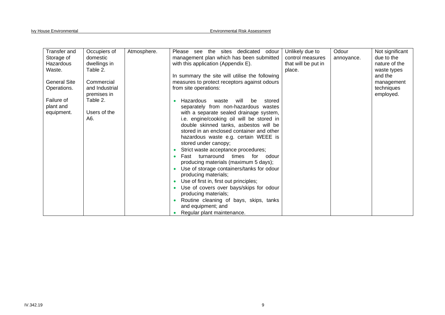| Transfer and        | Occupiers of   |             | the<br>sites<br>odour                          |                     | Odour      | Not significant |
|---------------------|----------------|-------------|------------------------------------------------|---------------------|------------|-----------------|
|                     |                | Atmosphere. | dedicated<br>Please<br>see                     | Unlikely due to     |            |                 |
| Storage of          | domestic       |             | management plan which has been submitted       | control measures    | annoyance. | due to the      |
| Hazardous           | dwellings in   |             | with this application (Appendix E).            | that will be put in |            | nature of the   |
| Waste.              | Table 2.       |             |                                                | place.              |            | waste types     |
|                     |                |             | In summary the site will utilise the following |                     |            | and the         |
| <b>General Site</b> | Commercial     |             | measures to protect receptors against odours   |                     |            | management      |
| Operations.         | and Industrial |             | from site operations:                          |                     |            | techniques      |
|                     | premises in    |             |                                                |                     |            | employed.       |
| Failure of          | Table 2.       |             | Hazardous<br>waste<br>will<br>be<br>stored     |                     |            |                 |
| plant and           |                |             | separately from non-hazardous wastes           |                     |            |                 |
|                     | Users of the   |             |                                                |                     |            |                 |
| equipment.          |                |             | with a separate sealed drainage system,        |                     |            |                 |
|                     | A6.            |             | i.e. engine/cooking oil will be stored in      |                     |            |                 |
|                     |                |             | double skinned tanks, asbestos will be         |                     |            |                 |
|                     |                |             | stored in an enclosed container and other      |                     |            |                 |
|                     |                |             | hazardous waste e.g. certain WEEE is           |                     |            |                 |
|                     |                |             | stored under canopy;                           |                     |            |                 |
|                     |                |             | Strict waste acceptance procedures;            |                     |            |                 |
|                     |                |             | Fast turnaround<br>times<br>for<br>odour       |                     |            |                 |
|                     |                |             | producing materials (maximum 5 days);          |                     |            |                 |
|                     |                |             | Use of storage containers/tanks for odour      |                     |            |                 |
|                     |                |             | producing materials;                           |                     |            |                 |
|                     |                |             | Use of first in, first out principles;         |                     |            |                 |
|                     |                |             | Use of covers over bays/skips for odour        |                     |            |                 |
|                     |                |             | producing materials;                           |                     |            |                 |
|                     |                |             |                                                |                     |            |                 |
|                     |                |             | Routine cleaning of bays, skips, tanks         |                     |            |                 |
|                     |                |             | and equipment; and                             |                     |            |                 |
|                     |                |             | Regular plant maintenance.                     |                     |            |                 |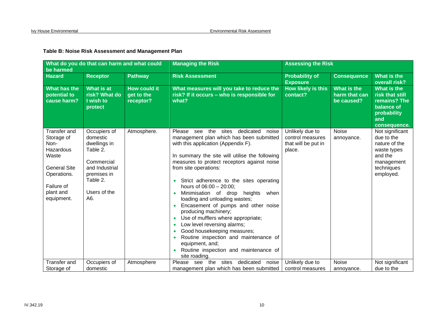#### **Table B: Noise Risk Assessment and Management Plan**

| What do you do that can harm and what could<br>be harmed                                                                                       |                                                                                                                                        |                                                | <b>Managing the Risk</b>                                                                                                                                                                                                                                                                                                                                                                                                                                                                                                                                                                                                                                                                                                               | <b>Assessing the Risk</b>                                            |                                            |                                                                                                                   |
|------------------------------------------------------------------------------------------------------------------------------------------------|----------------------------------------------------------------------------------------------------------------------------------------|------------------------------------------------|----------------------------------------------------------------------------------------------------------------------------------------------------------------------------------------------------------------------------------------------------------------------------------------------------------------------------------------------------------------------------------------------------------------------------------------------------------------------------------------------------------------------------------------------------------------------------------------------------------------------------------------------------------------------------------------------------------------------------------------|----------------------------------------------------------------------|--------------------------------------------|-------------------------------------------------------------------------------------------------------------------|
| <b>Hazard</b>                                                                                                                                  | <b>Receptor</b>                                                                                                                        | <b>Pathway</b>                                 | <b>Risk Assessment</b>                                                                                                                                                                                                                                                                                                                                                                                                                                                                                                                                                                                                                                                                                                                 | <b>Probability of</b><br><b>Exposure</b>                             | <b>Consequence</b>                         | What is the<br>overall risk?                                                                                      |
| What has the<br>potential to<br>cause harm?                                                                                                    | What is at<br>risk? What do<br>I wish to<br>protect                                                                                    | <b>How could it</b><br>get to the<br>receptor? | What measures will you take to reduce the<br>risk? If it occurs - who is responsible for<br>what?                                                                                                                                                                                                                                                                                                                                                                                                                                                                                                                                                                                                                                      | <b>How likely is this</b><br>contact?                                | What is the<br>harm that can<br>be caused? | What is the<br>risk that still<br>remains? The<br>balance of<br>probability<br>and<br>consequence.                |
| <b>Transfer and</b><br>Storage of<br>Non-<br>Hazardous<br>Waste<br><b>General Site</b><br>Operations.<br>Failure of<br>plant and<br>equipment. | Occupiers of<br>domestic<br>dwellings in<br>Table 2.<br>Commercial<br>and Industrial<br>premises in<br>Table 2.<br>Users of the<br>A6. | Atmosphere.                                    | Please see the sites dedicated<br>noise<br>management plan which has been submitted<br>with this application (Appendix F).<br>In summary the site will utilise the following<br>measures to protect receptors against noise<br>from site operations:<br>Strict adherence to the sites operating<br>hours of 06:00 - 20:00;<br>Minimisation of drop<br>heights<br>when<br>loading and unloading wastes;<br>Encasement of pumps and other noise<br>producing machinery;<br>Use of mufflers where appropriate;<br>$\bullet$<br>Low level reversing alarms;<br>$\bullet$<br>Good housekeeping measures;<br>$\bullet$<br>Routine inspection and maintenance of<br>equipment, and;<br>Routine inspection and maintenance of<br>site roading. | Unlikely due to<br>control measures<br>that will be put in<br>place. | Noise<br>annoyance.                        | Not significant<br>due to the<br>nature of the<br>waste types<br>and the<br>management<br>techniques<br>employed. |
| <b>Transfer and</b><br>Storage of                                                                                                              | Occupiers of<br>domestic                                                                                                               | Atmosphere                                     | sites<br>dedicated<br>Please<br>see<br>the<br>noise<br>management plan which has been submitted                                                                                                                                                                                                                                                                                                                                                                                                                                                                                                                                                                                                                                        | Unlikely due to<br>control measures                                  | Noise                                      | Not significant<br>due to the                                                                                     |
|                                                                                                                                                |                                                                                                                                        |                                                |                                                                                                                                                                                                                                                                                                                                                                                                                                                                                                                                                                                                                                                                                                                                        |                                                                      | annoyance.                                 |                                                                                                                   |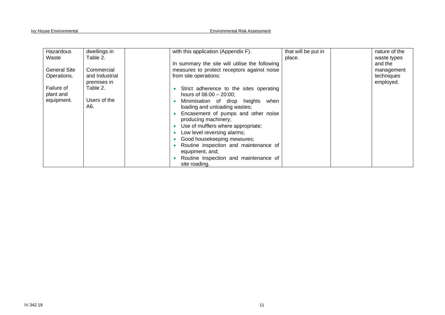| Hazardous    | dwellings in   |               | with this application (Appendix F).            | that will be put in | nature of the |
|--------------|----------------|---------------|------------------------------------------------|---------------------|---------------|
| Waste        | Table 2.       |               |                                                | place.              | waste types   |
|              |                |               | In summary the site will utilise the following |                     | and the       |
| General Site | Commercial     |               | measures to protect receptors against noise    |                     | management    |
| Operations.  | and Industrial |               | from site operations:                          |                     | techniques    |
|              | premises in    |               |                                                |                     | employed.     |
| Failure of   | Table 2.       |               | Strict adherence to the sites operating        |                     |               |
| plant and    |                |               | hours of $06:00 - 20:00$ ;                     |                     |               |
| equipment.   | Users of the   |               | Minimisation of drop heights when              |                     |               |
|              | A6.            |               | loading and unloading wastes;                  |                     |               |
|              |                |               | Encasement of pumps and other noise            |                     |               |
|              |                |               | producing machinery;                           |                     |               |
|              |                |               | Use of mufflers where appropriate;             |                     |               |
|              |                |               | Low level reversing alarms;                    |                     |               |
|              |                |               | Good housekeeping measures;                    |                     |               |
|              |                |               | Routine inspection and maintenance of          |                     |               |
|              |                |               | equipment, and;                                |                     |               |
|              |                |               | Routine inspection and maintenance of          |                     |               |
|              |                | site roading. |                                                |                     |               |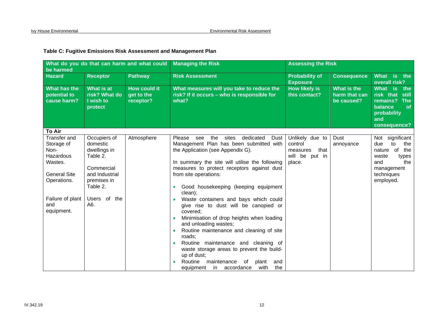| What do you do that can harm and what could<br>be harmed                                                                                         |                                                                                                                                        |                                                | <b>Managing the Risk</b>                                                                                                                                                                                                                                                                                                                                                                                                                                                                                                                                                                                                                                                                                                                |                                                                               | <b>Assessing the Risk</b>                  |                                                                                                                                  |  |
|--------------------------------------------------------------------------------------------------------------------------------------------------|----------------------------------------------------------------------------------------------------------------------------------------|------------------------------------------------|-----------------------------------------------------------------------------------------------------------------------------------------------------------------------------------------------------------------------------------------------------------------------------------------------------------------------------------------------------------------------------------------------------------------------------------------------------------------------------------------------------------------------------------------------------------------------------------------------------------------------------------------------------------------------------------------------------------------------------------------|-------------------------------------------------------------------------------|--------------------------------------------|----------------------------------------------------------------------------------------------------------------------------------|--|
| <b>Hazard</b>                                                                                                                                    | <b>Receptor</b>                                                                                                                        | <b>Pathway</b>                                 | <b>Risk Assessment</b>                                                                                                                                                                                                                                                                                                                                                                                                                                                                                                                                                                                                                                                                                                                  | <b>Probability of</b><br><b>Exposure</b>                                      | <b>Consequence</b>                         | What is the<br>overall risk?                                                                                                     |  |
| What has the<br>potential to<br>cause harm?                                                                                                      | What is at<br>risk? What do<br>I wish to<br>protect                                                                                    | <b>How could it</b><br>get to the<br>receptor? | What measures will you take to reduce the<br>risk? If it occurs - who is responsible for<br>what?                                                                                                                                                                                                                                                                                                                                                                                                                                                                                                                                                                                                                                       | <b>How likely is</b><br>this contact?                                         | What is the<br>harm that can<br>be caused? | What is<br>the<br>risk that still<br>remains? The<br>balance<br><b>of</b><br>probability<br>and<br>consequence?                  |  |
| <b>To Air</b>                                                                                                                                    |                                                                                                                                        |                                                |                                                                                                                                                                                                                                                                                                                                                                                                                                                                                                                                                                                                                                                                                                                                         |                                                                               |                                            |                                                                                                                                  |  |
| <b>Transfer and</b><br>Storage of<br>Non-<br>Hazardous<br>Wastes.<br><b>General Site</b><br>Operations.<br>Failure of plant<br>and<br>equipment. | Occupiers of<br>domestic<br>dwellings in<br>Table 2.<br>Commercial<br>and Industrial<br>premises in<br>Table 2.<br>Users of the<br>A6. | Atmosphere                                     | dedicated<br>Please<br>the<br>sites<br>Dust  <br>see<br>Management Plan has been submitted with<br>the Application (see Appendix G).<br>In summary the site will utilise the following<br>measures to protect receptors against dust<br>from site operations:<br>Good housekeeping (keeping equipment<br>clean);<br>Waste containers and bays which could<br>give rise to dust will be canopied or<br>covered;<br>Minimisation of drop heights when loading<br>and unloading wastes;<br>Routine maintenance and cleaning of site<br>roads;<br>Routine maintenance and cleaning of<br>waste storage areas to prevent the build-<br>up of dust;<br>Routine<br>maintenance<br>plant<br>of<br>and<br>with<br>equipment in accordance<br>the | Unlikely due to<br>control<br>that<br>measures<br>will be<br>put in<br>place. | Dust<br>annoyance                          | Not significant<br>due<br>to<br>the<br>nature of<br>the<br>waste<br>types<br>the<br>and<br>management<br>techniques<br>employed. |  |

#### **Table C: Fugitive Emissions Risk Assessment and Management Plan**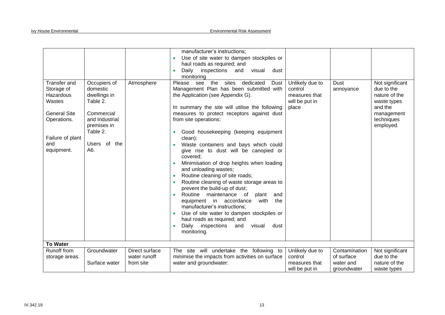|                                                                                                                                         |                                                                                                                                        |                                | manufacturer's instructions;<br>Use of site water to dampen stockpiles or<br>haul roads as required; and<br>Daily inspections and<br>visual<br>dust<br>$\bullet$<br>monitoring                                                                                                                                                                                                                                                                                                                                                                                                                                                                                                                                                                                                                                                                                 |                                                                        |                             |                                                                                                                   |
|-----------------------------------------------------------------------------------------------------------------------------------------|----------------------------------------------------------------------------------------------------------------------------------------|--------------------------------|----------------------------------------------------------------------------------------------------------------------------------------------------------------------------------------------------------------------------------------------------------------------------------------------------------------------------------------------------------------------------------------------------------------------------------------------------------------------------------------------------------------------------------------------------------------------------------------------------------------------------------------------------------------------------------------------------------------------------------------------------------------------------------------------------------------------------------------------------------------|------------------------------------------------------------------------|-----------------------------|-------------------------------------------------------------------------------------------------------------------|
| <b>Transfer and</b><br>Storage of<br>Hazardous<br>Wastes<br><b>General Site</b><br>Operations.<br>Failure of plant<br>and<br>equipment. | Occupiers of<br>domestic<br>dwellings in<br>Table 2.<br>Commercial<br>and Industrial<br>premises in<br>Table 2.<br>Users of the<br>A6. | Atmosphere                     | the sites<br>Please see<br>dedicated<br>Dust<br>Management Plan has been submitted with<br>the Application (see Appendix G).<br>In summary the site will utilise the following<br>measures to protect receptors against dust<br>from site operations:<br>Good housekeeping (keeping equipment<br>clean);<br>Waste containers and bays which could<br>give rise to dust will be canopied or<br>covered:<br>Minimisation of drop heights when loading<br>and unloading wastes;<br>Routine cleaning of site roads;<br>Routine cleaning of waste storage areas to<br>prevent the build-up of dust;<br>Routine maintenance<br>plant<br>of<br>and<br>equipment in accordance<br>the<br>with<br>manufacturer's instructions;<br>Use of site water to dampen stockpiles or<br>haul roads as required; and<br>Daily inspections<br>and<br>dust<br>visual<br>monitoring. | Unlikely due to<br>control<br>measures that<br>will be put in<br>place | <b>Dust</b><br>annoyance    | Not significant<br>due to the<br>nature of the<br>waste types<br>and the<br>management<br>techniques<br>employed. |
| <b>To Water</b>                                                                                                                         |                                                                                                                                        |                                |                                                                                                                                                                                                                                                                                                                                                                                                                                                                                                                                                                                                                                                                                                                                                                                                                                                                |                                                                        |                             |                                                                                                                   |
| Runoff from<br>storage areas.                                                                                                           | Groundwater                                                                                                                            | Direct surface<br>water runoff | The site will undertake the following to<br>minimise the impacts from activities on surface                                                                                                                                                                                                                                                                                                                                                                                                                                                                                                                                                                                                                                                                                                                                                                    | Unlikely due to<br>control                                             | Contamination<br>of surface | Not significant<br>due to the                                                                                     |
|                                                                                                                                         | Surface water                                                                                                                          | from site                      | water and groundwater:                                                                                                                                                                                                                                                                                                                                                                                                                                                                                                                                                                                                                                                                                                                                                                                                                                         | measures that<br>will be put in                                        | water and<br>groundwater    | nature of the<br>waste types                                                                                      |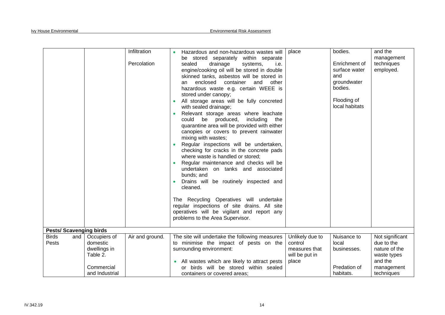|                               |                                                                                      | Infiltration<br>Percolation | Hazardous and non-hazardous wastes will<br>$\bullet$<br>be stored separately within separate<br>sealed<br>drainage<br>systems,<br>i.e.<br>engine/cooking oil will be stored in double<br>skinned tanks, asbestos will be stored in<br>and<br>enclosed<br>container<br>other<br>an<br>hazardous waste e.g. certain WEEE is<br>stored under canopy;<br>All storage areas will be fully concreted<br>with sealed drainage;<br>Relevant storage areas where leachate<br>could<br>be produced,<br>including<br>the<br>quarantine area will be provided with either<br>canopies or covers to prevent rainwater<br>mixing with wastes;<br>Regular inspections will be undertaken,<br>checking for cracks in the concrete pads<br>where waste is handled or stored;<br>Regular maintenance and checks will be<br>undertaken on tanks and associated<br>bunds; and<br>Drains will be routinely inspected and<br>cleaned.<br>The Recycling Operatives will undertake<br>regular inspections of site drains. All site<br>operatives will be vigilant and report any<br>problems to the Area Supervisor. | place                                                                  | bodies.<br>Enrichment of<br>surface water<br>and<br>groundwater<br>bodies.<br>Flooding of<br>local habitats | and the<br>management<br>techniques<br>employed.                                                     |
|-------------------------------|--------------------------------------------------------------------------------------|-----------------------------|----------------------------------------------------------------------------------------------------------------------------------------------------------------------------------------------------------------------------------------------------------------------------------------------------------------------------------------------------------------------------------------------------------------------------------------------------------------------------------------------------------------------------------------------------------------------------------------------------------------------------------------------------------------------------------------------------------------------------------------------------------------------------------------------------------------------------------------------------------------------------------------------------------------------------------------------------------------------------------------------------------------------------------------------------------------------------------------------|------------------------------------------------------------------------|-------------------------------------------------------------------------------------------------------------|------------------------------------------------------------------------------------------------------|
| <b>Pests/Scavenging birds</b> |                                                                                      |                             |                                                                                                                                                                                                                                                                                                                                                                                                                                                                                                                                                                                                                                                                                                                                                                                                                                                                                                                                                                                                                                                                                              |                                                                        |                                                                                                             |                                                                                                      |
| <b>Birds</b><br>and<br>Pests  | Occupiers of<br>domestic<br>dwellings in<br>Table 2.<br>Commercial<br>and Industrial | Air and ground.             | The site will undertake the following measures<br>to minimise the impact of pests on the<br>surrounding environment:<br>All wastes which are likely to attract pests<br>or birds will be stored within sealed<br>containers or covered areas;                                                                                                                                                                                                                                                                                                                                                                                                                                                                                                                                                                                                                                                                                                                                                                                                                                                | Unlikely due to<br>control<br>measures that<br>will be put in<br>place | Nuisance to<br>local<br>businesses.<br>Predation of<br>habitats.                                            | Not significant<br>due to the<br>nature of the<br>waste types<br>and the<br>management<br>techniques |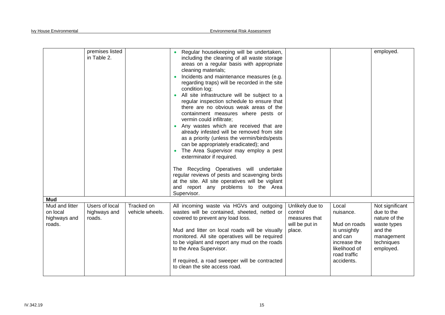|                                                      | premises listed<br>in Table 2.           |                               | Regular housekeeping will be undertaken,<br>including the cleaning of all waste storage<br>areas on a regular basis with appropriate<br>cleaning materials;<br>Incidents and maintenance measures (e.g.<br>regarding traps) will be recorded in the site<br>condition log;<br>All site infrastructure will be subject to a<br>regular inspection schedule to ensure that<br>there are no obvious weak areas of the<br>containment measures where pests or<br>vermin could infiltrate;<br>Any wastes which are received that are<br>already infested will be removed from site<br>as a priority (unless the vermin/birds/pests<br>can be appropriately eradicated); and<br>The Area Supervisor may employ a pest<br>exterminator if required.<br>The Recycling Operatives will undertake<br>regular reviews of pests and scavenging birds<br>at the site. All site operatives will be vigilant<br>and report any problems to the Area<br>Supervisor. |                                                                         |                                                                                                                              | employed.                                                                                                         |
|------------------------------------------------------|------------------------------------------|-------------------------------|-----------------------------------------------------------------------------------------------------------------------------------------------------------------------------------------------------------------------------------------------------------------------------------------------------------------------------------------------------------------------------------------------------------------------------------------------------------------------------------------------------------------------------------------------------------------------------------------------------------------------------------------------------------------------------------------------------------------------------------------------------------------------------------------------------------------------------------------------------------------------------------------------------------------------------------------------------|-------------------------------------------------------------------------|------------------------------------------------------------------------------------------------------------------------------|-------------------------------------------------------------------------------------------------------------------|
| <b>Mud</b>                                           |                                          |                               |                                                                                                                                                                                                                                                                                                                                                                                                                                                                                                                                                                                                                                                                                                                                                                                                                                                                                                                                                     |                                                                         |                                                                                                                              |                                                                                                                   |
| Mud and litter<br>on local<br>highways and<br>roads. | Users of local<br>highways and<br>roads. | Tracked on<br>vehicle wheels. | All incoming waste via HGVs and outgoing<br>wastes will be contained, sheeted, netted or<br>covered to prevent any load loss.<br>Mud and litter on local roads will be visually<br>monitored. All site operatives will be required<br>to be vigilant and report any mud on the roads<br>to the Area Supervisor.<br>If required, a road sweeper will be contracted<br>to clean the site access road.                                                                                                                                                                                                                                                                                                                                                                                                                                                                                                                                                 | Unlikely due to<br>control<br>measures that<br>will be put in<br>place. | Local<br>nuisance.<br>Mud on roads<br>is unsightly<br>and can<br>increase the<br>likelihood of<br>road traffic<br>accidents. | Not significant<br>due to the<br>nature of the<br>waste types<br>and the<br>management<br>techniques<br>employed. |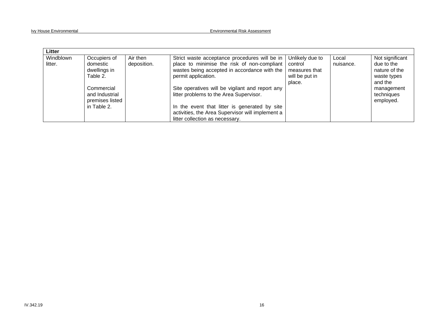| Litter               |                                                 |                         |                                                                                              |                            |                    |                                       |
|----------------------|-------------------------------------------------|-------------------------|----------------------------------------------------------------------------------------------|----------------------------|--------------------|---------------------------------------|
| Windblown<br>litter. | Occupiers of<br>domestic                        | Air then<br>deposition. | Strict waste acceptance procedures will be in<br>place to minimise the risk of non-compliant | Unlikely due to<br>control | Local<br>nuisance. | Not significant<br>due to the         |
|                      | dwellings in                                    |                         | wastes being accepted in accordance with the                                                 | measures that              |                    | nature of the                         |
|                      | Table 2.                                        |                         | permit application.                                                                          | will be put in<br>place.   |                    | waste types<br>and the                |
|                      | Commercial<br>and Industrial<br>premises listed |                         | Site operatives will be vigilant and report any<br>litter problems to the Area Supervisor.   |                            |                    | management<br>techniques<br>employed. |
|                      | in Table 2.                                     |                         | In the event that litter is generated by site                                                |                            |                    |                                       |
|                      |                                                 |                         | activities, the Area Supervisor will implement a                                             |                            |                    |                                       |
|                      |                                                 |                         | litter collection as necessary.                                                              |                            |                    |                                       |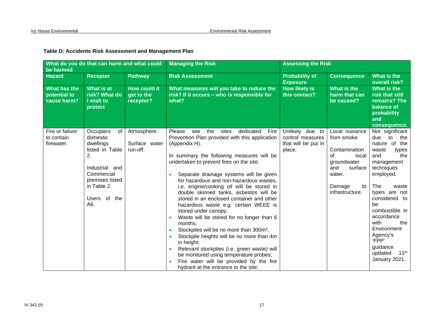| be harmed                                   | What do you do that can harm and what could                                                                                                                |                                                | <b>Managing the Risk</b>                                                                                                                                                                                                                                                                                                                                                                                                                                                                                                                                                                                                                                                                                                                                                                                                                                       | <b>Assessing the Risk</b>                                            |                                                                                                                                             |                                                                                                                                                                                                                                                                                                                                      |  |  |
|---------------------------------------------|------------------------------------------------------------------------------------------------------------------------------------------------------------|------------------------------------------------|----------------------------------------------------------------------------------------------------------------------------------------------------------------------------------------------------------------------------------------------------------------------------------------------------------------------------------------------------------------------------------------------------------------------------------------------------------------------------------------------------------------------------------------------------------------------------------------------------------------------------------------------------------------------------------------------------------------------------------------------------------------------------------------------------------------------------------------------------------------|----------------------------------------------------------------------|---------------------------------------------------------------------------------------------------------------------------------------------|--------------------------------------------------------------------------------------------------------------------------------------------------------------------------------------------------------------------------------------------------------------------------------------------------------------------------------------|--|--|
| <b>Hazard</b>                               | <b>Receptor</b>                                                                                                                                            | <b>Pathway</b>                                 | <b>Risk Assessment</b>                                                                                                                                                                                                                                                                                                                                                                                                                                                                                                                                                                                                                                                                                                                                                                                                                                         | <b>Probability of</b><br><b>Exposure</b>                             | <b>Consequence</b>                                                                                                                          | <b>What is the</b><br>overall risk?                                                                                                                                                                                                                                                                                                  |  |  |
| What has the<br>potential to<br>cause harm? | What is at<br>risk? What do<br>I wish to<br>protect                                                                                                        | <b>How could it</b><br>get to the<br>receptor? | What measures will you take to reduce the<br>risk? If it occurs - who is responsible for<br>what?                                                                                                                                                                                                                                                                                                                                                                                                                                                                                                                                                                                                                                                                                                                                                              | <b>How likely is</b><br>this contact?                                | What is the<br>harm that can<br>be caused?                                                                                                  | What is the<br>risk that still<br>remains? The<br>balance of<br>probability<br>and<br>consequence.                                                                                                                                                                                                                                   |  |  |
| Fire or failure<br>to contain<br>firewater. | Occupiers<br>0f<br>domestic<br>dwellings<br>listed in Table<br>2.<br>Industrial and<br>Commercial<br>premises listed<br>in Table 2.<br>Users of the<br>A6. | Atmosphere.<br>Surface water<br>run-off.       | the<br>sites<br>dedicated<br>Please<br>Fire<br>see<br>Prevention Plan provided with this application<br>(Appendix H).<br>In summary the following measures will be<br>undertaken to prevent fires on the site:<br>Separate drainage systems will be given<br>for hazardous and non-hazardous wastes,<br>i.e. engine/cooking oil will be stored in<br>double skinned tanks, asbestos will be<br>stored in an enclosed container and other<br>hazardous waste e.g. certain WEEE is<br>stored under canopy;<br>Waste will be stored for no longer than 6<br>months;<br>Stockpiles will be no more than 300m <sup>3</sup> ,<br>Stockpile heights will be no more than 4m<br>in height;<br>Relevant stockpiles (i.e. green waste) will<br>be monitored using temperature probes;<br>Fire water will be provided by the fire<br>hydrant at the entrance to the site; | Unlikely due to<br>control measures<br>that will be put in<br>place. | Local nuisance<br>from smoke.<br>Contamination<br>0f<br>local<br>groundwater<br>surface<br>and<br>water.<br>Damage<br>to<br>infrastructure. | Not significant<br>the<br>due<br>to<br>nature of the<br>waste<br>types<br>and<br>the<br>management<br>techniques<br>employed.<br>The<br>waste<br>types are not<br>considered to<br>be<br>combustible in<br>accordance<br>with<br>the<br>Environment<br>Agency's<br>'FPP'<br>guidance<br>updated<br>$11^{\text{th}}$<br>January 2021. |  |  |

#### **Table D: Accidents Risk Assessment and Management Plan**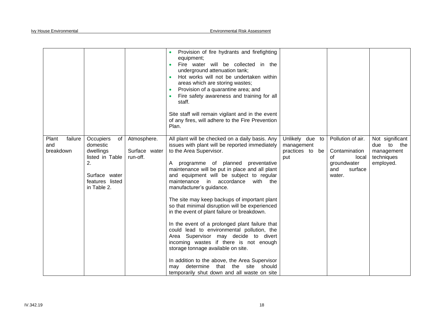|                                                                                                                                                              |                                          | Provision of fire hydrants and firefighting<br>equipment;<br>Fire water will be collected in the<br>underground attenuation tank;<br>Hot works will not be undertaken within<br>areas which are storing wastes;<br>Provision of a quarantine area; and<br>Fire safety awareness and training for all<br>staff.<br>Site staff will remain vigilant and in the event<br>of any fires, will adhere to the Fire Prevention<br>Plan.                                                                                                                                                                                                                                                                                                                                                                                                                       |                                                         |                                                                                              |                                                                              |
|--------------------------------------------------------------------------------------------------------------------------------------------------------------|------------------------------------------|-------------------------------------------------------------------------------------------------------------------------------------------------------------------------------------------------------------------------------------------------------------------------------------------------------------------------------------------------------------------------------------------------------------------------------------------------------------------------------------------------------------------------------------------------------------------------------------------------------------------------------------------------------------------------------------------------------------------------------------------------------------------------------------------------------------------------------------------------------|---------------------------------------------------------|----------------------------------------------------------------------------------------------|------------------------------------------------------------------------------|
| failure<br>Occupiers<br>Plant<br>of<br>and<br>domestic<br>breakdown<br>dwellings<br>listed in Table<br>2.<br>Surface water<br>features listed<br>in Table 2. | Atmosphere.<br>Surface water<br>run-off. | All plant will be checked on a daily basis. Any<br>issues with plant will be reported immediately<br>to the Area Supervisor.<br>A programme of planned preventative<br>maintenance will be put in place and all plant<br>and equipment will be subject to regular<br>maintenance in accordance<br>with the<br>manufacturer's guidance.<br>The site may keep backups of important plant<br>so that minimal disruption will be experienced<br>in the event of plant failure or breakdown.<br>In the event of a prolonged plant failure that<br>could lead to environmental pollution, the<br>Area Supervisor may decide to divert<br>incoming wastes if there is not enough<br>storage tonnage available on site.<br>In addition to the above, the Area Supervisor<br>may determine that the site should<br>temporarily shut down and all waste on site | Unlikely due to<br>management<br>practices to be<br>put | Pollution of air.<br>Contamination<br>local<br>0f<br>groundwater<br>surface<br>and<br>water. | Not significant<br>due<br>to<br>the<br>management<br>techniques<br>employed. |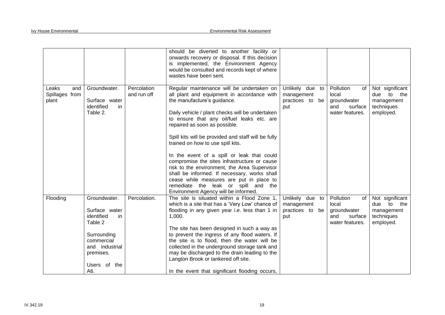|                                         |                                                                                                                                                    |                            | should be diverted to another facility or<br>onwards recovery or disposal. If this decision<br>is implemented, the Environment Agency<br>would be consulted and records kept of where<br>wastes have been sent.                                                                                                                                                                                                                                                                                                                                                                                                                                                               |                                                               |                                                                              |                                                                              |
|-----------------------------------------|----------------------------------------------------------------------------------------------------------------------------------------------------|----------------------------|-------------------------------------------------------------------------------------------------------------------------------------------------------------------------------------------------------------------------------------------------------------------------------------------------------------------------------------------------------------------------------------------------------------------------------------------------------------------------------------------------------------------------------------------------------------------------------------------------------------------------------------------------------------------------------|---------------------------------------------------------------|------------------------------------------------------------------------------|------------------------------------------------------------------------------|
| Leaks<br>and<br>Spillages from<br>plant | Groundwater.<br>Surface water<br>identified<br>in<br>Table 2.                                                                                      | Percolation<br>and run off | Regular maintenance will be undertaken on<br>all plant and equipment in accordance with<br>the manufacture's guidance.<br>Daily vehicle / plant checks will be undertaken<br>to ensure that any oil/fuel leaks etc. are<br>repaired as soon as possible.<br>Spill kits will be provided and staff will be fully<br>trained on how to use spill kits.<br>In the event of a spill or leak that could<br>compromise the sites infrastructure or cause<br>risk to the environment, the Area Supervisor<br>shall be informed. If necessary, works shall<br>cease while measures are put in place to<br>remediate the leak or spill and the<br>Environment Agency will be informed. | Unlikely due to<br>management<br>practices to be<br>put       | Pollution<br>of<br>local<br>groundwater<br>surface<br>and<br>water features. | Not significant<br>due to<br>the<br>management<br>techniques<br>employed.    |
| Flooding                                | Groundwater.<br>Surface water<br>identified<br>in<br>Table 2<br>Surrounding<br>commercial<br>and industrial<br>premises.<br>Users of<br>the<br>A6. | Percolation.               | The site is situated within a Flood Zone 1,<br>which is a site that has a 'Very Low' chance of<br>flooding in any given year i.e. less than 1 in<br>1,000.<br>The site has been designed in such a way as<br>to prevent the ingress of any flood waters. If<br>the site is to flood, then the water will be<br>collected in the underground storage tank and<br>may be discharged to the drain leading to the<br>Langton Brook or tankered off site.<br>In the event that significant flooding occurs,                                                                                                                                                                        | Unlikely due<br>to<br>management<br>practices to<br>be<br>put | Pollution<br>of<br>local<br>groundwater<br>and<br>surface<br>water features. | Not significant<br>to<br>the<br>due<br>management<br>techniques<br>employed. |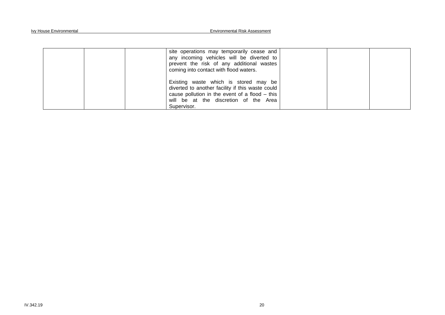| site operations may temporarily cease and<br>any incoming vehicles will be diverted to<br>prevent the risk of any additional wastes<br>coming into contact with flood waters.                       |  |
|-----------------------------------------------------------------------------------------------------------------------------------------------------------------------------------------------------|--|
| Existing waste which is stored may be<br>diverted to another facility if this waste could<br>cause pollution in the event of a flood – this<br>will be at the discretion of the Area<br>Supervisor. |  |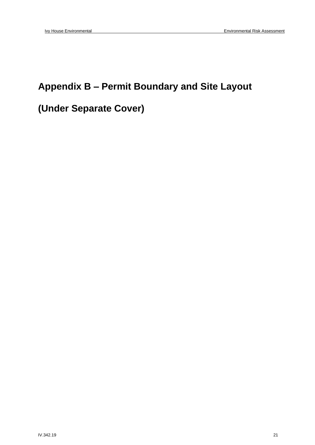## **Appendix B – Permit Boundary and Site Layout**

## **(Under Separate Cover)**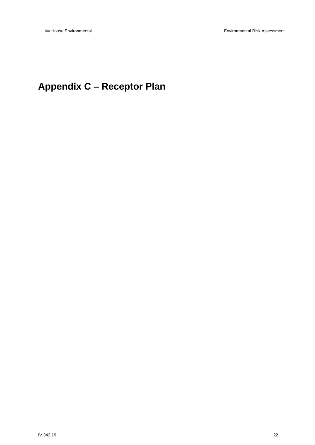## **Appendix C – Receptor Plan**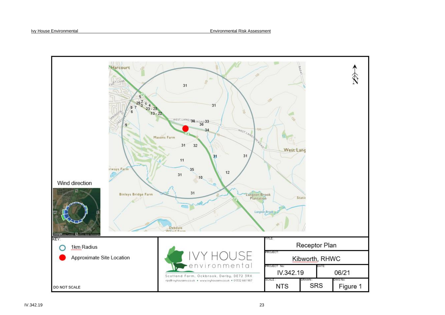